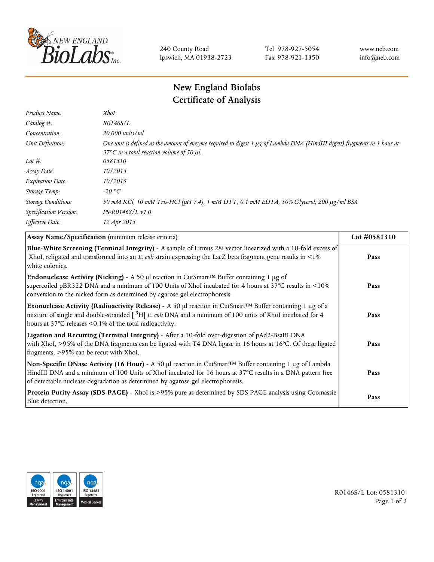

240 County Road Ipswich, MA 01938-2723 Tel 978-927-5054 Fax 978-921-1350 www.neb.com info@neb.com

## **New England Biolabs Certificate of Analysis**

| Product Name:              | <b>XhoI</b>                                                                                                                                                                           |
|----------------------------|---------------------------------------------------------------------------------------------------------------------------------------------------------------------------------------|
| Catalog $#$ :              | R0146S/L                                                                                                                                                                              |
| Concentration:             | 20,000 units/ml                                                                                                                                                                       |
| Unit Definition:           | One unit is defined as the amount of enzyme required to digest 1 µg of Lambda DNA (HindIII digest) fragments in 1 hour at<br>37 $\degree$ C in a total reaction volume of 50 $\mu$ l. |
| Lot $#$ :                  | 0581310                                                                                                                                                                               |
| Assay Date:                | 10/2013                                                                                                                                                                               |
| <b>Expiration Date:</b>    | 10/2015                                                                                                                                                                               |
| Storage Temp:              | -20 °C                                                                                                                                                                                |
| <b>Storage Conditions:</b> | 50 mM KCl, 10 mM Tris-HCl (pH 7.4), 1 mM DTT, 0.1 mM EDTA, 50% Glycerol, 200 µg/ml BSA                                                                                                |
| Specification Version:     | $PS-R0146S/L \nu 1.0$                                                                                                                                                                 |
| Effective Date:            | 12 Apr 2013                                                                                                                                                                           |
|                            |                                                                                                                                                                                       |

| Assay Name/Specification (minimum release criteria)                                                                                                                                                                                                                                                                        | Lot #0581310 |
|----------------------------------------------------------------------------------------------------------------------------------------------------------------------------------------------------------------------------------------------------------------------------------------------------------------------------|--------------|
| Blue-White Screening (Terminal Integrity) - A sample of Litmus 28i vector linearized with a 10-fold excess of<br>XhoI, religated and transformed into an E. coli strain expressing the LacZ beta fragment gene results in <1%<br>white colonies.                                                                           | Pass         |
| <b>Endonuclease Activity (Nicking)</b> - A 50 µl reaction in CutSmart <sup>TM</sup> Buffer containing 1 µg of<br>supercoiled pBR322 DNA and a minimum of 100 Units of XhoI incubated for 4 hours at 37°C results in <10%<br>conversion to the nicked form as determined by agarose gel electrophoresis.                    | Pass         |
| Exonuclease Activity (Radioactivity Release) - A 50 $\mu$ l reaction in CutSmart <sup>TM</sup> Buffer containing 1 $\mu$ g of a<br>mixture of single and double-stranded $[$ <sup>3</sup> H $]$ E. coli DNA and a minimum of 100 units of XhoI incubated for 4<br>hours at 37°C releases <0.1% of the total radioactivity. | Pass         |
| Ligation and Recutting (Terminal Integrity) - After a 10-fold over-digestion of pAd2-BsaBI DNA<br>with XhoI, >95% of the DNA fragments can be ligated with T4 DNA ligase in 16 hours at 16°C. Of these ligated<br>fragments, >95% can be recut with XhoI.                                                                  | Pass         |
| Non-Specific DNase Activity (16 Hour) - A 50 µl reaction in CutSmart™ Buffer containing 1 µg of Lambda<br>HindIII DNA and a minimum of 100 Units of XhoI incubated for 16 hours at 37°C results in a DNA pattern free<br>of detectable nuclease degradation as determined by agarose gel electrophoresis.                  | Pass         |
| Protein Purity Assay (SDS-PAGE) - XhoI is >95% pure as determined by SDS PAGE analysis using Coomassie<br>Blue detection.                                                                                                                                                                                                  | Pass         |



R0146S/L Lot: 0581310 Page 1 of 2